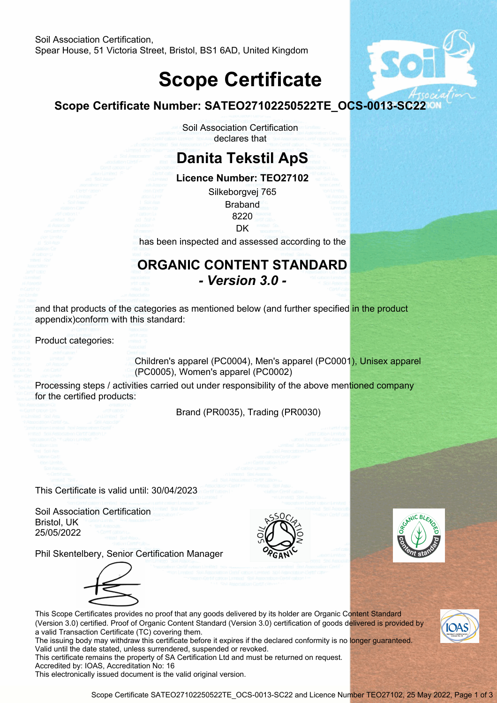## **Scope Certificate**



|                                                                                                  | Scope Certificate Number: SATEO27102250522TE_OCS-0013-SC22                                                                                                                                                                                                                                       |  |
|--------------------------------------------------------------------------------------------------|--------------------------------------------------------------------------------------------------------------------------------------------------------------------------------------------------------------------------------------------------------------------------------------------------|--|
|                                                                                                  | Soil Association Certification<br>declares that                                                                                                                                                                                                                                                  |  |
|                                                                                                  | <b>Danita Tekstil ApS</b>                                                                                                                                                                                                                                                                        |  |
|                                                                                                  | Licence Number: TEO27102<br>Silkeborgvej 765<br><b>Braband</b><br>8220                                                                                                                                                                                                                           |  |
|                                                                                                  | DK<br>has been inspected and assessed according to the                                                                                                                                                                                                                                           |  |
|                                                                                                  | <b>ORGANIC CONTENT STANDARD</b><br>- Version 3.0 -                                                                                                                                                                                                                                               |  |
| appendix)conform with this standard:                                                             | and that products of the categories as mentioned below (and further specified in the product                                                                                                                                                                                                     |  |
| Product categories:                                                                              |                                                                                                                                                                                                                                                                                                  |  |
|                                                                                                  | Children's apparel (PC0004), Men's apparel (PC0001), Unisex apparel<br>(PC0005), Women's apparel (PC0002)                                                                                                                                                                                        |  |
| for the certified products:                                                                      | Processing steps / activities carried out under responsibility of the above mentioned company                                                                                                                                                                                                    |  |
|                                                                                                  | Brand (PR0035), Trading (PR0030)                                                                                                                                                                                                                                                                 |  |
|                                                                                                  |                                                                                                                                                                                                                                                                                                  |  |
| This Certificate is valid until: 30/04/2023                                                      |                                                                                                                                                                                                                                                                                                  |  |
| <b>Soil Association Certification</b><br>Bristol, UK<br>25/05/2022                               | MIC <sub>B</sub>                                                                                                                                                                                                                                                                                 |  |
|                                                                                                  | Phil Skentelbery, Senior Certification Manager<br>This Scope Certificates provides no proof that any goods delivered by its holder are Organic Content Standard<br>(Version 3.0) certified. Proof of Organic Content Standard (Version 3.0) certification of goods delivered is provided by      |  |
| a valid Transaction Certificate (TC) covering them.<br>Accredited by: IOAS, Accreditation No: 16 | The issuing body may withdraw this certificate before it expires if the declared conformity is no longer guaranteed.<br>Valid until the date stated, unless surrendered, suspended or revoked.<br>This certificate remains the property of SA Certification Ltd and must be returned on request. |  |

This electronically issued document is the valid original version.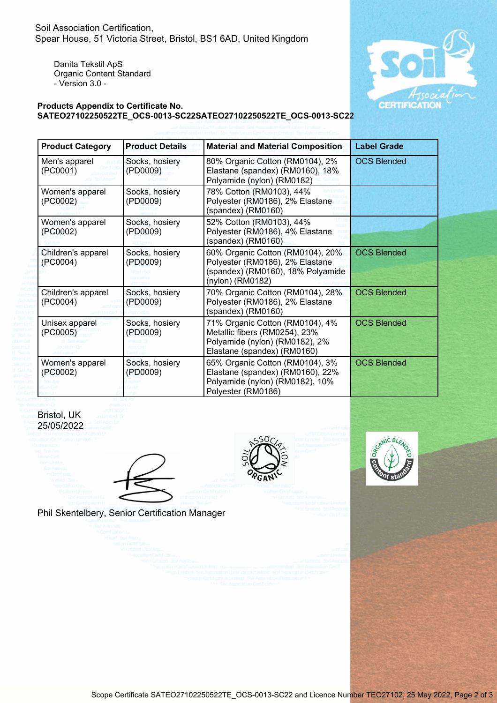Danita Tekstil ApS Organic Content Standard - Version 3.0 -



## **Products Appendix to Certificate No. SATEO27102250522TE\_OCS-0013-SC22SATEO27102250522TE\_OCS-0013-SC22**

| <b>Product Category</b>        | <b>Product Details</b>     | <b>Material and Material Composition</b>                                                                                          | <b>Label Grade</b> |  |  |
|--------------------------------|----------------------------|-----------------------------------------------------------------------------------------------------------------------------------|--------------------|--|--|
| Men's apparel<br>(PC0001)      | Socks, hosiery<br>(PD0009) | 80% Organic Cotton (RM0104), 2%<br>Elastane (spandex) (RM0160), 18%<br>Polyamide (nylon) (RM0182)                                 | <b>OCS Blended</b> |  |  |
| Women's apparel<br>(PC0002)    | Socks, hosiery<br>(PD0009) | 78% Cotton (RM0103), 44%<br>Polyester (RM0186), 2% Elastane<br>$(sp$ andex $)$ (RM0160)                                           |                    |  |  |
| Women's apparel<br>(PC0002)    | Socks, hosiery<br>(PD0009) | 52% Cotton (RM0103), 44%<br>Polyester (RM0186), 4% Elastane<br>(spandex) (RM0160)                                                 |                    |  |  |
| Children's apparel<br>(PC0004) | Socks, hosiery<br>(PD0009) | 60% Organic Cotton (RM0104), 20%<br>Polyester (RM0186), 2% Elastane<br>(spandex) (RM0160), 18% Polyamide<br>(nylon) (RM0182)      | <b>OCS Blended</b> |  |  |
| Children's apparel<br>(PC0004) | Socks, hosiery<br>(PD0009) | 70% Organic Cotton (RM0104), 28%<br>Polyester (RM0186), 2% Elastane<br>(spandex) (RM0160)                                         | <b>OCS Blended</b> |  |  |
| Unisex apparel<br>(PC0005)     | Socks, hosiery<br>(PD0009) | 71% Organic Cotton (RM0104), 4%<br>Metallic fibers (RM0254), 23%<br>Polyamide (nylon) (RM0182), 2%<br>Elastane (spandex) (RM0160) | <b>OCS Blended</b> |  |  |
| Women's apparel<br>(PC0002)    | Socks, hosiery<br>(PD0009) | 65% Organic Cotton (RM0104), 3%<br>Elastane (spandex) (RM0160), 22%<br>Polyamide (nylon) (RM0182), 10%<br>Polyester (RM0186)      | <b>OCS Blended</b> |  |  |









Phil Skentelbery, Senior Certification Manager